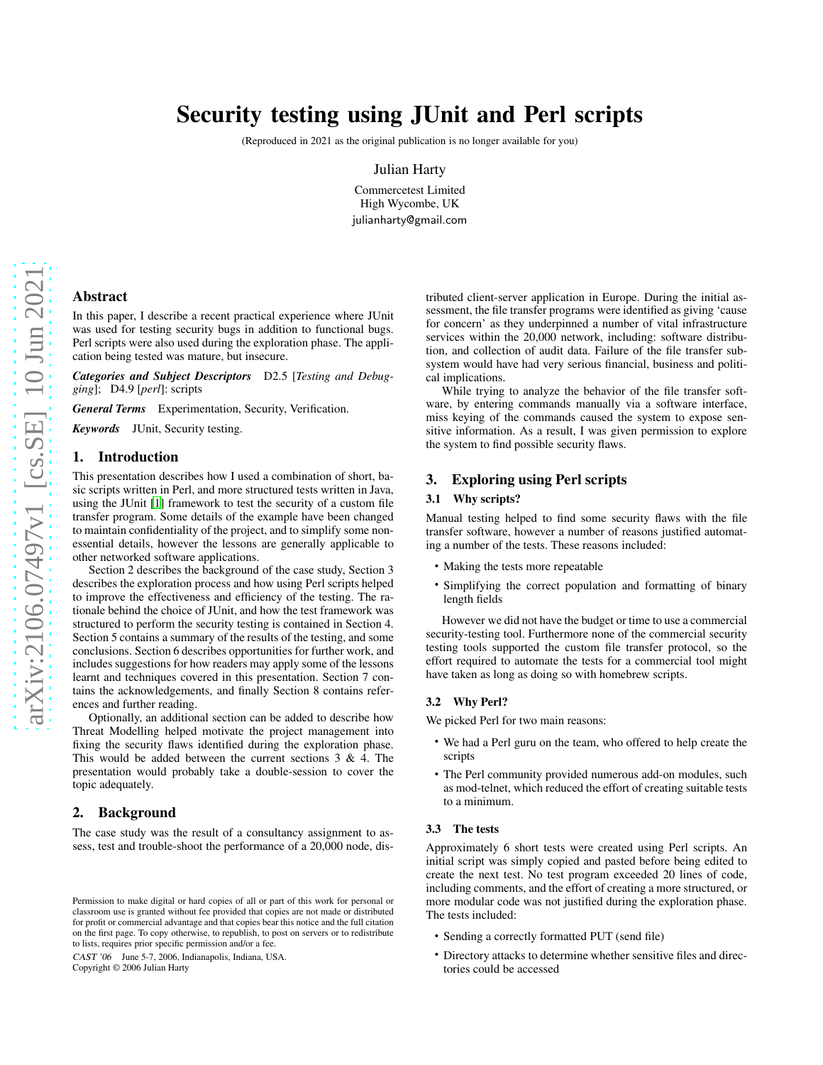# Security testing using JUnit and Perl scripts

(Reproduced in 2021 as the original publication is no longer available for you)

Julian Harty

Commercetest Limited High Wycombe, UK julianharty@gmail.com

## Abstract

In this paper, I describe a recent practical experience where JUnit was used for testing security bugs in addition to functional bugs. Perl scripts were also used during the exploration phase. The application being tested was mature, but insecure.

*Categories and Subject Descriptors* D2.5 [*Testing and Debugging*]; D4.9 [*perl*]: scripts

*General Terms* Experimentation, Security, Verification.

*Keywords* JUnit, Security testing.

#### 1. Introduction

This presentation describes how I used a combination of short, basic scripts written in Perl, and more structured tests written in Java, using the JUnit [\[1](#page-1-0)] framework to test the security of a custom file transfer program. Some details of the example have been changed to maintain confidentiality of the project, and to simplify some nonessential details, however the lessons are generally applicable to other networked software applications.

Section 2 describes the background of the case study, Section 3 describes the exploration process and how using Perl scripts helped to improve the effectiveness and efficiency of the testing. The rationale behind the choice of JUnit, and how the test framework was structured to perform the security testing is contained in Section 4. Section 5 contains a summary of the results of the testing, and some conclusions. Section 6 describes opportunities for further work, and includes suggestions for how readers may apply some of the lessons learnt and techniques covered in this presentation. Section 7 contains the acknowledgements, and finally Section 8 contains references and further reading.

Optionally, an additional section can be added to describe how Threat Modelling helped motivate the project management into fixing the security flaws identified during the exploration phase. This would be added between the current sections 3 & 4. The presentation would probably take a double-session to cover the topic adequately.

## 2. Background

The case study was the result of a consultancy assignment to assess, test and trouble-shoot the performance of a 20,000 node, dis-

CAST '06 June 5-7, 2006, Indianapolis, Indiana, USA. Copyright © 2006 Julian Harty

tributed client-server application in Europe. During the initial assessment, the file transfer programs were identified as giving 'cause for concern' as they underpinned a number of vital infrastructure services within the 20,000 network, including: software distribution, and collection of audit data. Failure of the file transfer subsystem would have had very serious financial, business and political implications.

While trying to analyze the behavior of the file transfer software, by entering commands manually via a software interface, miss keying of the commands caused the system to expose sensitive information. As a result, I was given permission to explore the system to find possible security flaws.

## 3. Exploring using Perl scripts

#### 3.1 Why scripts?

Manual testing helped to find some security flaws with the file transfer software, however a number of reasons justified automating a number of the tests. These reasons included:

- Making the tests more repeatable
- Simplifying the correct population and formatting of binary length fields

However we did not have the budget or time to use a commercial security-testing tool. Furthermore none of the commercial security testing tools supported the custom file transfer protocol, so the effort required to automate the tests for a commercial tool might have taken as long as doing so with homebrew scripts.

#### 3.2 Why Perl?

We picked Perl for two main reasons:

- We had a Perl guru on the team, who offered to help create the scripts
- The Perl community provided numerous add-on modules, such as mod-telnet, which reduced the effort of creating suitable tests to a minimum.

## 3.3 The tests

Approximately 6 short tests were created using Perl scripts. An initial script was simply copied and pasted before being edited to create the next test. No test program exceeded 20 lines of code, including comments, and the effort of creating a more structured, or more modular code was not justified during the exploration phase. The tests included:

- Sending a correctly formatted PUT (send file)
- Directory attacks to determine whether sensitive files and directories could be accessed

Permission to make digital or hard copies of all or part of this work for personal or classroom use is granted without fee provided that copies are not made or distributed for profit or commercial advantage and that copies bear this notice and the full citation on the first page. To copy otherwise, to republish, to post on servers or to redistribute to lists, requires prior specific permission and/or a fee.